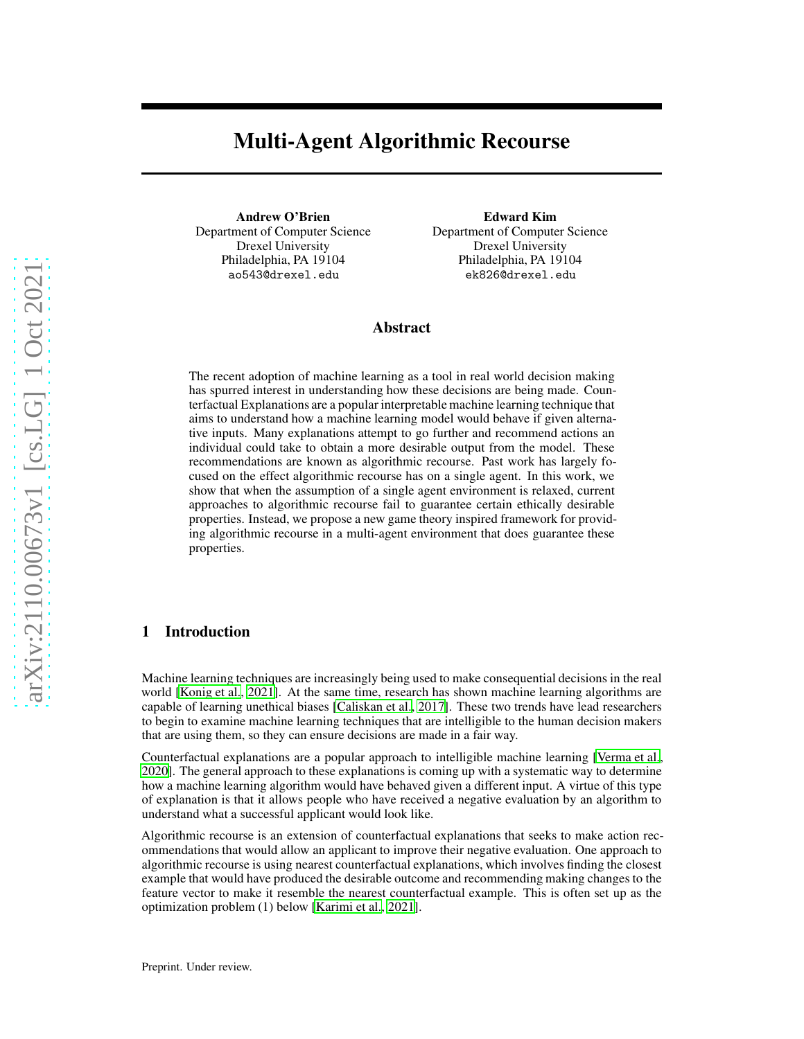# Multi-Agent Algorithmic Recourse

Andrew O'Brien Department of Computer Science Drexel University Philadelphia, PA 19104 ao543@drexel.edu

Edward Kim Department of Computer Science Drexel University Philadelphia, PA 19104 ek826@drexel.edu

### Abstract

The recent adoption of machine learning as a tool in real world decision making has spurred interest in understanding how these decisions are being made. Counterfactual Explanations are a popular interpretable machine learning technique that aims to understand how a machine learning model would behave if given alternative inputs. Many explanations attempt to go further and recommend actions an individual could take to obtain a more desirable output from the model. These recommendations are known as algorithmic recourse. Past work has largely focused on the effect algorithmic recourse has on a single agent. In this work, we show that when the assumption of a single agent environment is relaxed, current approaches to algorithmic recourse fail to guarantee certain ethically desirable properties. Instead, we propose a new game theory inspired framework for providing algorithmic recourse in a multi-agent environment that does guarantee these properties.

## 1 Introduction

Machine learning techniques are increasingly being used to make consequential decisions in the real world [\[Konig et al.](#page-5-0), [2021\]](#page-5-0). At the same time, research has shown machine learning algorithms are capable of learning unethical biases [\[Caliskan et al., 2017\]](#page-6-0). These two trends have lead researchers to begin to examine machine learning techniques that are intelligible to the human decision makers that are using them, so they can ensure decisions are made in a fair way.

Counterfactual explanations are a popular approach to intelligible machine learning [\[Verma et al.,](#page-6-1) [2020\]](#page-6-1). The general approach to these explanations is coming up with a systematic way to determine how a machine learning algorithm would have behaved given a different input. A virtue of this type of explanation is that it allows people who have received a negative evaluation by an algorithm to understand what a successful applicant would look like.

Algorithmic recourse is an extension of counterfactual explanations that seeks to make action recommendations that would allow an applicant to improve their negative evaluation. One approach to algorithmic recourse is using nearest counterfactual explanations, which involves finding the closest example that would have produced the desirable outcome and recommending making changes to the feature vector to make it resemble the nearest counterfactual example. This is often set up as the optimization problem (1) below [\[Karimi et al., 2021\]](#page-6-2).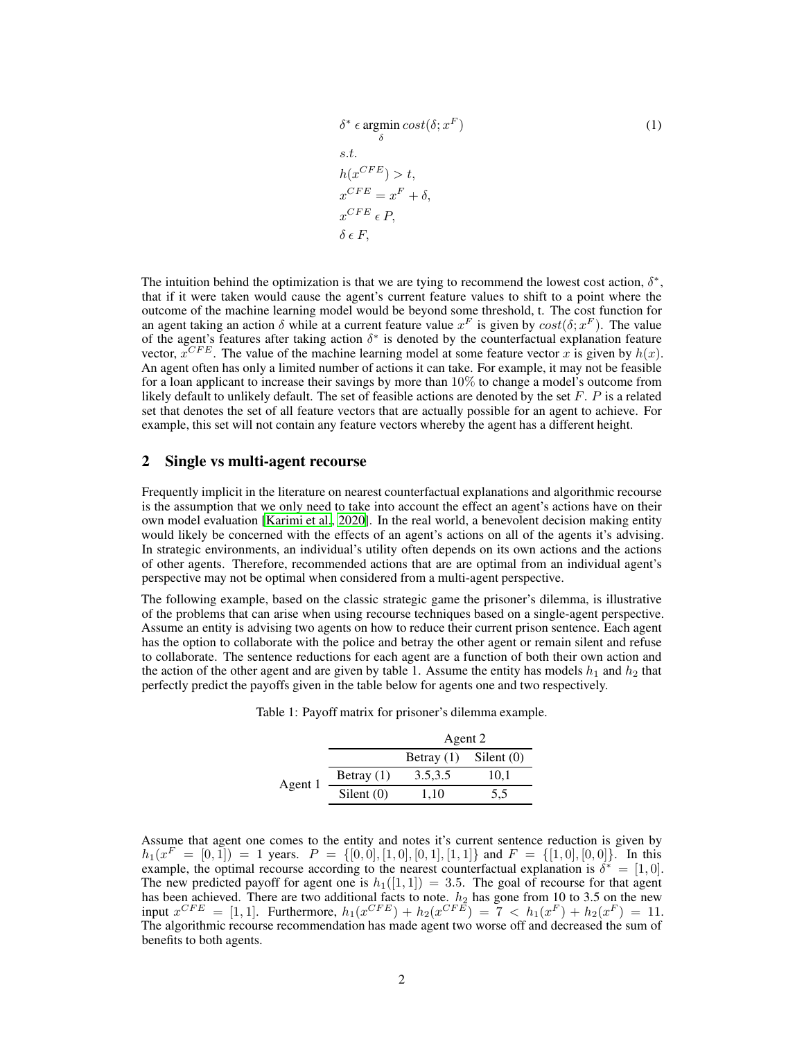$$
\delta^* \epsilon \operatorname*{argmin}_{\delta} cost(\delta; x^F)
$$
\ns.t.  
\n
$$
h(x^{CFE}) > t,
$$
  
\n
$$
x^{CFE} = x^F + \delta,
$$
  
\n
$$
x^{CFE} \epsilon P,
$$
  
\n
$$
\delta \epsilon F,
$$
\n(1)

The intuition behind the optimization is that we are tying to recommend the lowest cost action,  $\delta^*$ , that if it were taken would cause the agent's current feature values to shift to a point where the outcome of the machine learning model would be beyond some threshold, t. The cost function for an agent taking an action  $\delta$  while at a current feature value  $x^F$  is given by  $cost(\delta; x^F)$ . The value of the agent's features after taking action  $\delta^*$  is denoted by the counterfactual explanation feature vector,  $x^{CFE}$ . The value of the machine learning model at some feature vector x is given by  $h(x)$ . An agent often has only a limited number of actions it can take. For example, it may not be feasible for a loan applicant to increase their savings by more than 10% to change a model's outcome from likely default to unlikely default. The set of feasible actions are denoted by the set  $F$ .  $P$  is a related set that denotes the set of all feature vectors that are actually possible for an agent to achieve. For example, this set will not contain any feature vectors whereby the agent has a different height.

## 2 Single vs multi-agent recourse

Frequently implicit in the literature on nearest counterfactual explanations and algorithmic recourse is the assumption that we only need to take into account the effect an agent's actions have on their own model evaluation [\[Karimi et al., 2020\]](#page-6-3). In the real world, a benevolent decision making entity would likely be concerned with the effects of an agent's actions on all of the agents it's advising. In strategic environments, an individual's utility often depends on its own actions and the actions of other agents. Therefore, recommended actions that are are optimal from an individual agent's perspective may not be optimal when considered from a multi-agent perspective.

The following example, based on the classic strategic game the prisoner's dilemma, is illustrative of the problems that can arise when using recourse techniques based on a single-agent perspective. Assume an entity is advising two agents on how to reduce their current prison sentence. Each agent has the option to collaborate with the police and betray the other agent or remain silent and refuse to collaborate. The sentence reductions for each agent are a function of both their own action and the action of the other agent and are given by table 1. Assume the entity has models  $h_1$  and  $h_2$  that perfectly predict the payoffs given in the table below for agents one and two respectively.

|         |              | Agent 2      |            |
|---------|--------------|--------------|------------|
|         |              | Betray $(1)$ | Silent (0) |
| Agent 1 | Betray $(1)$ | 3.5, 3.5     | 10,1       |
|         | Silent $(0)$ | 1.10         | 5,5        |

Table 1: Payoff matrix for prisoner's dilemma example.

Assume that agent one comes to the entity and notes it's current sentence reduction is given by  $h_1(x^F = [0, 1]) = 1$  years.  $P = \{[0, 0], [1, 0], [0, 1], [1, 1]\}$  and  $F = \{[1, 0], [0, 0]\}$ . In this example, the optimal recourse according to the nearest counterfactual explanation is  $\delta^* = [1, 0]$ . The new predicted payoff for agent one is  $h_1([1, 1]) = 3.5$ . The goal of recourse for that agent has been achieved. There are two additional facts to note.  $h_2$  has gone from 10 to 3.5 on the new input  $x^{CFE} = [1, 1]$ . Furthermore,  $h_1(x^{CFE}) + h_2(x^{CFE}) = 7 < h_1(x^F) + h_2(x^F) = 11$ . The algorithmic recourse recommendation has made agent two worse off and decreased the sum of benefits to both agents.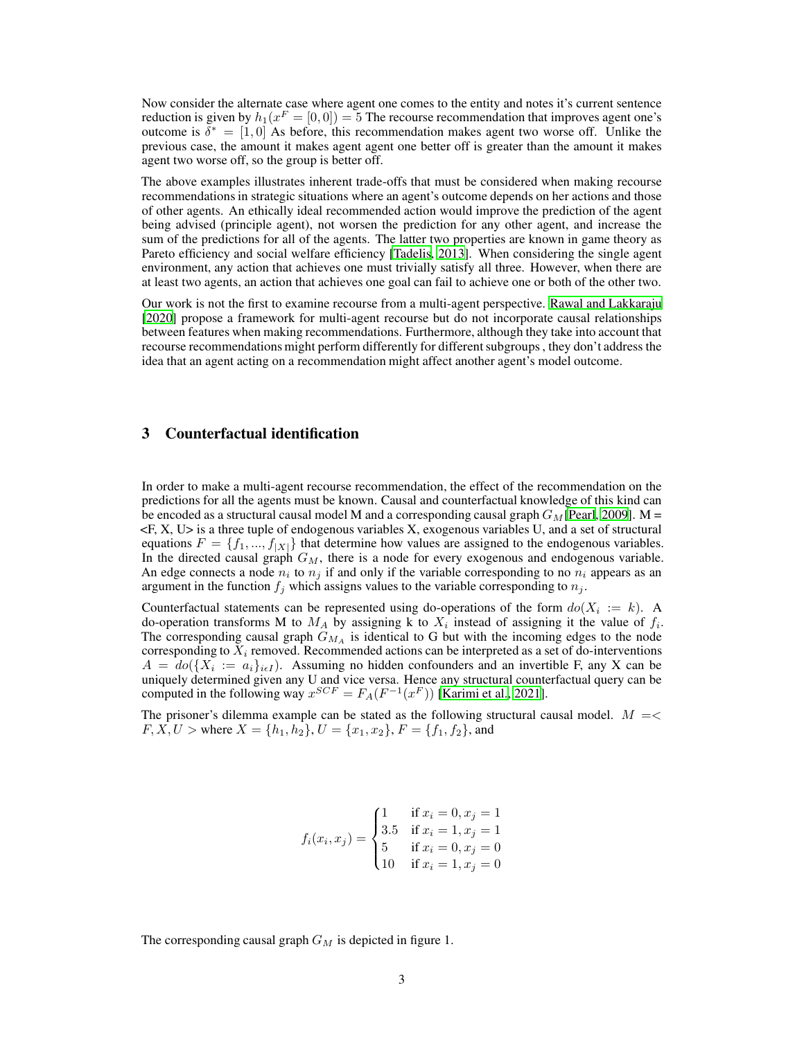Now consider the alternate case where agent one comes to the entity and notes it's current sentence reduction is given by  $h_1(x^F = [0, 0]) = 5$  The recourse recommendation that improves agent one's outcome is  $\delta^* = [1, 0]$  As before, this recommendation makes agent two worse off. Unlike the previous case, the amount it makes agent agent one better off is greater than the amount it makes agent two worse off, so the group is better off.

The above examples illustrates inherent trade-offs that must be considered when making recourse recommendations in strategic situations where an agent's outcome depends on her actions and those of other agents. An ethically ideal recommended action would improve the prediction of the agent being advised (principle agent), not worsen the prediction for any other agent, and increase the sum of the predictions for all of the agents. The latter two properties are known in game theory as Pareto efficiency and social welfare efficiency [\[Tadelis](#page-6-4), [2013\]](#page-6-4). When considering the single agent environment, any action that achieves one must trivially satisfy all three. However, when there are at least two agents, an action that achieves one goal can fail to achieve one or both of the other two.

Our work is not the first to examine recourse from a multi-agent perspective. [Rawal and Lakkaraju](#page-6-5) [\[2020\]](#page-6-5) propose a framework for multi-agent recourse but do not incorporate causal relationships between features when making recommendations. Furthermore, although they take into account that recourse recommendations might perform differently for different subgroups , they don't address the idea that an agent acting on a recommendation might affect another agent's model outcome.

# 3 Counterfactual identification

In order to make a multi-agent recourse recommendation, the effect of the recommendation on the predictions for all the agents must be known. Causal and counterfactual knowledge of this kind can be encoded as a structural causal model M and a corresponding causal graph  $G<sub>M</sub>$  [\[Pearl, 2009\]](#page-6-6). M =  $\leq$ F, X, U $>$  is a three tuple of endogenous variables X, exogenous variables U, and a set of structural equations  $F = \{f_1, ..., f_{|X|}\}\$  that determine how values are assigned to the endogenous variables. In the directed causal graph  $G_M$ , there is a node for every exogenous and endogenous variable. An edge connects a node  $n_i$  to  $n_j$  if and only if the variable corresponding to no  $n_i$  appears as an argument in the function  $f_i$  which assigns values to the variable corresponding to  $n_i$ .

Counterfactual statements can be represented using do-operations of the form  $do(X_i := k)$ . A do-operation transforms M to  $M_A$  by assigning k to  $X_i$  instead of assigning it the value of  $f_i$ . The corresponding causal graph  $G_{M_A}$  is identical to G but with the incoming edges to the node corresponding to  $X_i$  removed. Recommended actions can be interpreted as a set of do-interventions  $A = do({X_i := a_i}_{i \in I})$ . Assuming no hidden confounders and an invertible F, any X can be uniquely determined given any U and vice versa. Hence any structural counterfactual query can be computed in the following way  $x^{SCF} = F_A(F^{-1}(x^F))$  [\[Karimi et al., 2021\]](#page-6-2).

The prisoner's dilemma example can be stated as the following structural causal model.  $M = \lt$  $F, X, U >$  where  $X = \{h_1, h_2\}, U = \{x_1, x_2\}, F = \{f_1, f_2\}$ , and

$$
f_i(x_i, x_j) = \begin{cases} 1 & \text{if } x_i = 0, x_j = 1 \\ 3.5 & \text{if } x_i = 1, x_j = 1 \\ 5 & \text{if } x_i = 0, x_j = 0 \\ 10 & \text{if } x_i = 1, x_j = 0 \end{cases}
$$

The corresponding causal graph  $G_M$  is depicted in figure 1.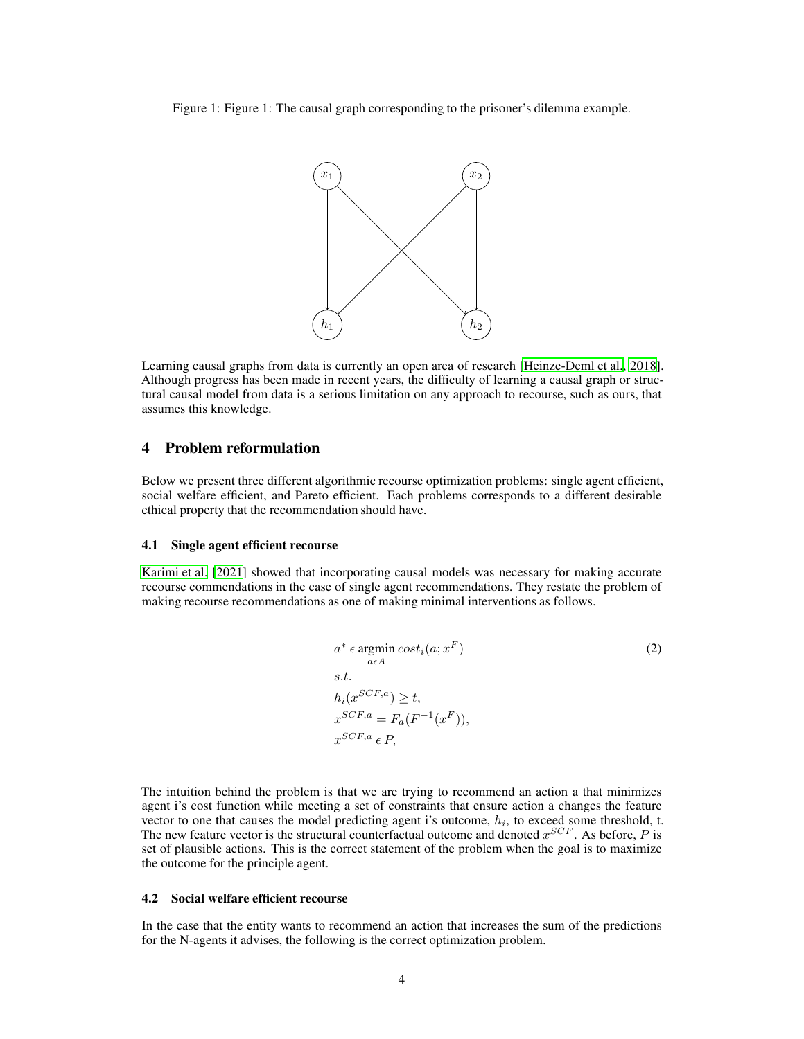Figure 1: Figure 1: The causal graph corresponding to the prisoner's dilemma example.



Learning causal graphs from data is currently an open area of research [\[Heinze-Deml et al., 2018\]](#page-6-7). Although progress has been made in recent years, the difficulty of learning a causal graph or structural causal model from data is a serious limitation on any approach to recourse, such as ours, that assumes this knowledge.

## 4 Problem reformulation

Below we present three different algorithmic recourse optimization problems: single agent efficient, social welfare efficient, and Pareto efficient. Each problems corresponds to a different desirable ethical property that the recommendation should have.

#### 4.1 Single agent efficient recourse

[Karimi et al. \[2021\]](#page-6-2) showed that incorporating causal models was necessary for making accurate recourse commendations in the case of single agent recommendations. They restate the problem of making recourse recommendations as one of making minimal interventions as follows.

$$
a^* \epsilon \operatorname*{argmin}_{a \in A} cost_i(a; x^F)
$$
  
s.t.  

$$
h_i(x^{SCF,a}) \ge t,
$$
  

$$
x^{SCF,a} = F_a(F^{-1}(x^F)),
$$
  

$$
x^{SCF,a} \epsilon P,
$$
 (2)

The intuition behind the problem is that we are trying to recommend an action a that minimizes agent i's cost function while meeting a set of constraints that ensure action a changes the feature vector to one that causes the model predicting agent i's outcome,  $h_i$ , to exceed some threshold, t. The new feature vector is the structural counterfactual outcome and denoted  $x^{SCF}$ . As before, P is set of plausible actions. This is the correct statement of the problem when the goal is to maximize the outcome for the principle agent.

#### 4.2 Social welfare efficient recourse

In the case that the entity wants to recommend an action that increases the sum of the predictions for the N-agents it advises, the following is the correct optimization problem.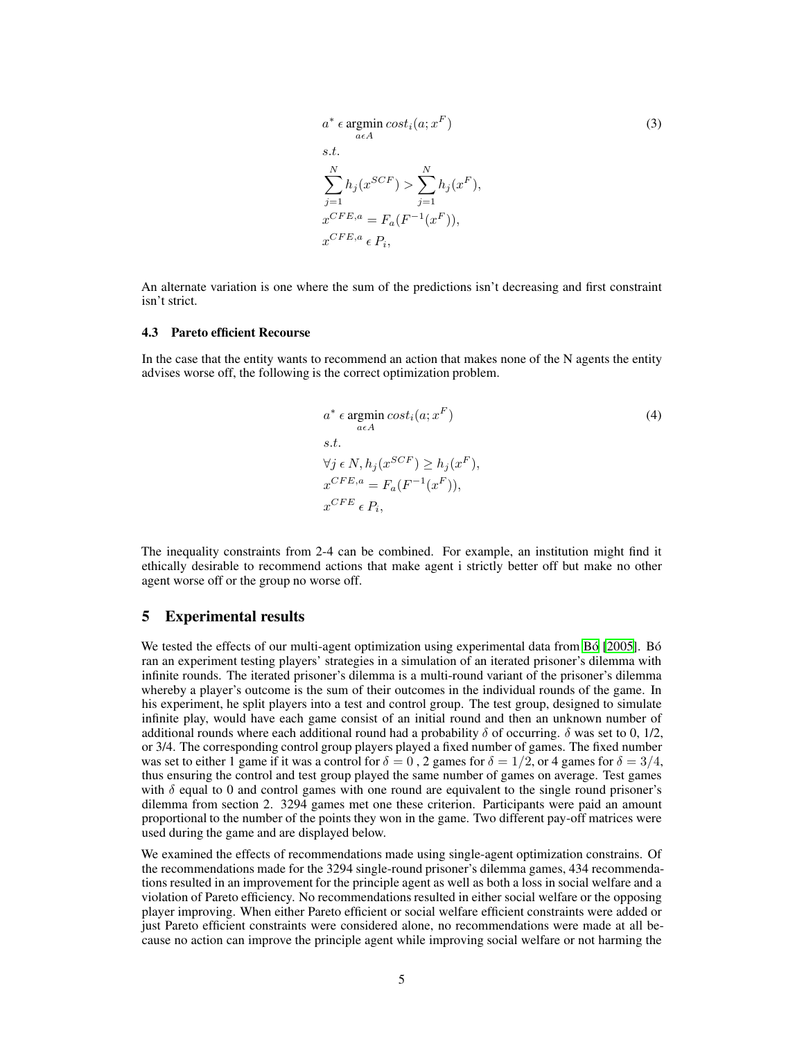$$
a^* \epsilon \operatorname*{argmin}_{a \epsilon A} cost_i(a; x^F)
$$
  
s.t.  

$$
\sum_{j=1}^{N} h_j(x^{SCF}) > \sum_{j=1}^{N} h_j(x^F),
$$
  

$$
x^{CFE, a} = F_a(F^{-1}(x^F)),
$$
  

$$
x^{CFE, a} \epsilon P_i,
$$
 (3)

An alternate variation is one where the sum of the predictions isn't decreasing and first constraint isn't strict.

#### 4.3 Pareto efficient Recourse

In the case that the entity wants to recommend an action that makes none of the N agents the entity advises worse off, the following is the correct optimization problem.

$$
a^* \epsilon \operatorname*{argmin}_{a \in A} cost_i(a; x^F)
$$
  
s.t.  

$$
\forall j \in N, h_j(x^{SCF}) \ge h_j(x^F),
$$
  

$$
x^{CFE, a} = F_a(F^{-1}(x^F)),
$$
  

$$
x^{CFE} \epsilon P_i,
$$
 (4)

The inequality constraints from 2-4 can be combined. For example, an institution might find it ethically desirable to recommend actions that make agent i strictly better off but make no other agent worse off or the group no worse off.

## 5 Experimental results

We tested the effects of our multi-agent optimization using experimental data from [Bó \[2005\]](#page-6-8). Bó ran an experiment testing players' strategies in a simulation of an iterated prisoner's dilemma with infinite rounds. The iterated prisoner's dilemma is a multi-round variant of the prisoner's dilemma whereby a player's outcome is the sum of their outcomes in the individual rounds of the game. In his experiment, he split players into a test and control group. The test group, designed to simulate infinite play, would have each game consist of an initial round and then an unknown number of additional rounds where each additional round had a probability  $\delta$  of occurring.  $\delta$  was set to 0, 1/2, or 3/4. The corresponding control group players played a fixed number of games. The fixed number was set to either 1 game if it was a control for  $\delta = 0$ , 2 games for  $\delta = 1/2$ , or 4 games for  $\delta = 3/4$ , thus ensuring the control and test group played the same number of games on average. Test games with  $\delta$  equal to 0 and control games with one round are equivalent to the single round prisoner's dilemma from section 2. 3294 games met one these criterion. Participants were paid an amount proportional to the number of the points they won in the game. Two different pay-off matrices were used during the game and are displayed below.

We examined the effects of recommendations made using single-agent optimization constrains. Of the recommendations made for the 3294 single-round prisoner's dilemma games, 434 recommendations resulted in an improvement for the principle agent as well as both a loss in social welfare and a violation of Pareto efficiency. No recommendations resulted in either social welfare or the opposing player improving. When either Pareto efficient or social welfare efficient constraints were added or just Pareto efficient constraints were considered alone, no recommendations were made at all because no action can improve the principle agent while improving social welfare or not harming the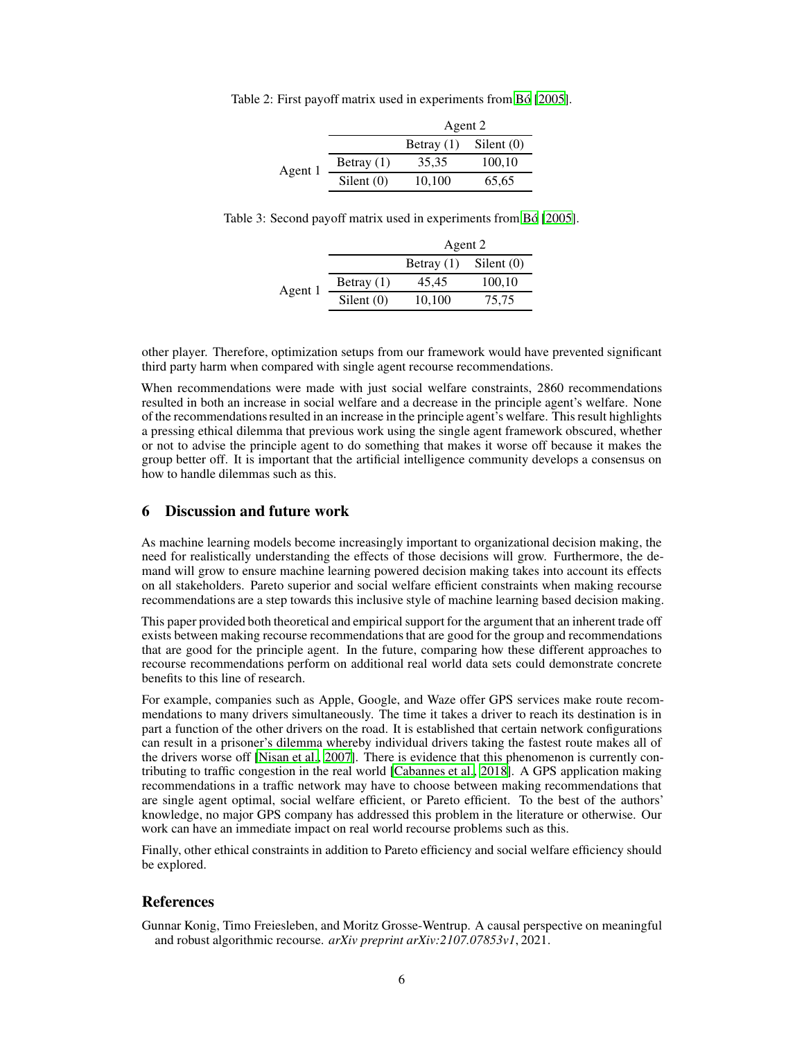|  | Table 2: First payoff matrix used in experiments from Bó [2005]. |  |
|--|------------------------------------------------------------------|--|
|  |                                                                  |  |

|         |              | Agent 2      |            |
|---------|--------------|--------------|------------|
|         |              | Betray $(1)$ | Silent (0) |
| Agent 1 | Betray $(1)$ | 35.35        | 100,10     |
|         | Silent $(0)$ | 10,100       | 65,65      |

Table 3: Second payoff matrix used in experiments from [Bó](#page-6-8) [\[2005\]](#page-6-8).

|         |              | Agent 2      |              |
|---------|--------------|--------------|--------------|
|         |              | Betray $(1)$ | Silent $(0)$ |
| Agent 1 | Betray $(1)$ | 45.45        | 100,10       |
|         | Silent $(0)$ | 10,100       | 75.75        |

other player. Therefore, optimization setups from our framework would have prevented significant third party harm when compared with single agent recourse recommendations.

When recommendations were made with just social welfare constraints, 2860 recommendations resulted in both an increase in social welfare and a decrease in the principle agent's welfare. None of the recommendations resulted in an increase in the principle agent's welfare. This result highlights a pressing ethical dilemma that previous work using the single agent framework obscured, whether or not to advise the principle agent to do something that makes it worse off because it makes the group better off. It is important that the artificial intelligence community develops a consensus on how to handle dilemmas such as this.

# 6 Discussion and future work

As machine learning models become increasingly important to organizational decision making, the need for realistically understanding the effects of those decisions will grow. Furthermore, the demand will grow to ensure machine learning powered decision making takes into account its effects on all stakeholders. Pareto superior and social welfare efficient constraints when making recourse recommendations are a step towards this inclusive style of machine learning based decision making.

This paper provided both theoretical and empirical support for the argument that an inherent trade off exists between making recourse recommendations that are good for the group and recommendations that are good for the principle agent. In the future, comparing how these different approaches to recourse recommendations perform on additional real world data sets could demonstrate concrete benefits to this line of research.

For example, companies such as Apple, Google, and Waze offer GPS services make route recommendations to many drivers simultaneously. The time it takes a driver to reach its destination is in part a function of the other drivers on the road. It is established that certain network configurations can result in a prisoner's dilemma whereby individual drivers taking the fastest route makes all of the drivers worse off [\[Nisan et al.](#page-6-9), [2007\]](#page-6-9). There is evidence that this phenomenon is currently contributing to traffic congestion in the real world [\[Cabannes et al., 2018](#page-6-10)]. A GPS application making recommendations in a traffic network may have to choose between making recommendations that are single agent optimal, social welfare efficient, or Pareto efficient. To the best of the authors' knowledge, no major GPS company has addressed this problem in the literature or otherwise. Our work can have an immediate impact on real world recourse problems such as this.

Finally, other ethical constraints in addition to Pareto efficiency and social welfare efficiency should be explored.

# References

<span id="page-5-0"></span>Gunnar Konig, Timo Freiesleben, and Moritz Grosse-Wentrup. A causal perspective on meaningful and robust algorithmic recourse. *arXiv preprint arXiv:2107.07853v1*, 2021.